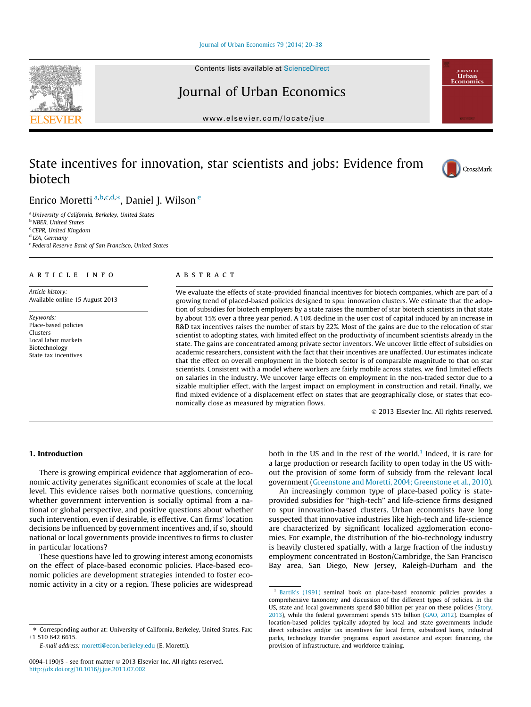Contents lists available at [ScienceDirect](http://www.sciencedirect.com/science/journal/00941190)

### Journal of Urban Economics

[www.elsevier.com/locate/jue](http://www.elsevier.com/locate/jue)

## State incentives for innovation, star scientists and jobs: Evidence from biotech

Enrico Moretti <sup>a,b,c,d,</sup>\*, Daniel J. Wilson <sup>e</sup>

<sup>a</sup>University of California, Berkeley, United States **b** NBER, United States <sup>c</sup> CEPR, United Kingdom <sup>d</sup> IZA, Germany <sup>e</sup> Federal Reserve Bank of San Francisco, United States

#### article info

Article history: Available online 15 August 2013

Keywords: Place-based policies Clusters Local labor markets Biotechnology State tax incentives

#### ABSTRACT

We evaluate the effects of state-provided financial incentives for biotech companies, which are part of a growing trend of placed-based policies designed to spur innovation clusters. We estimate that the adoption of subsidies for biotech employers by a state raises the number of star biotech scientists in that state by about 15% over a three year period. A 10% decline in the user cost of capital induced by an increase in R&D tax incentives raises the number of stars by 22%. Most of the gains are due to the relocation of star scientist to adopting states, with limited effect on the productivity of incumbent scientists already in the state. The gains are concentrated among private sector inventors. We uncover little effect of subsidies on academic researchers, consistent with the fact that their incentives are unaffected. Our estimates indicate that the effect on overall employment in the biotech sector is of comparable magnitude to that on star scientists. Consistent with a model where workers are fairly mobile across states, we find limited effects on salaries in the industry. We uncover large effects on employment in the non-traded sector due to a sizable multiplier effect, with the largest impact on employment in construction and retail. Finally, we find mixed evidence of a displacement effect on states that are geographically close, or states that economically close as measured by migration flows.

- 2013 Elsevier Inc. All rights reserved.

#### 1. Introduction

There is growing empirical evidence that agglomeration of economic activity generates significant economies of scale at the local level. This evidence raises both normative questions, concerning whether government intervention is socially optimal from a national or global perspective, and positive questions about whether such intervention, even if desirable, is effective. Can firms' location decisions be influenced by government incentives and, if so, should national or local governments provide incentives to firms to cluster in particular locations?

These questions have led to growing interest among economists on the effect of place-based economic policies. Place-based economic policies are development strategies intended to foster economic activity in a city or a region. These policies are widespread

both in the US and in the rest of the world.<sup>1</sup> Indeed, it is rare for a large production or research facility to open today in the US without the provision of some form of subsidy from the relevant local government [\(Greenstone and Moretti, 2004; Greenstone et al., 2010\)](#page--1-0).

An increasingly common type of place-based policy is stateprovided subsidies for ''high-tech'' and life-science firms designed to spur innovation-based clusters. Urban economists have long suspected that innovative industries like high-tech and life-science are characterized by significant localized agglomeration economies. For example, the distribution of the bio-technology industry is heavily clustered spatially, with a large fraction of the industry employment concentrated in Boston/Cambridge, the San Francisco Bay area, San Diego, New Jersey, Raleigh-Durham and the







<sup>⇑</sup> Corresponding author at: University of California, Berkeley, United States. Fax: +1 510 642 6615.

E-mail address: [moretti@econ.berkeley.edu](mailto:moretti@econ.berkeley.edu) (E. Moretti).

<sup>0094-1190/\$ -</sup> see front matter © 2013 Elsevier Inc. All rights reserved. <http://dx.doi.org/10.1016/j.jue.2013.07.002>

<sup>1</sup> [Bartik's \(1991\)](#page--1-0) seminal book on place-based economic policies provides a comprehensive taxonomy and discussion of the different types of policies. In the US, state and local governments spend \$80 billion per year on these policies ([Story,](#page--1-0) [2013\)](#page--1-0), while the federal government spends \$15 billion [\(GAO, 2012](#page--1-0)). Examples of location-based policies typically adopted by local and state governments include direct subsidies and/or tax incentives for local firms, subsidized loans, industrial parks, technology transfer programs, export assistance and export financing, the provision of infrastructure, and workforce training.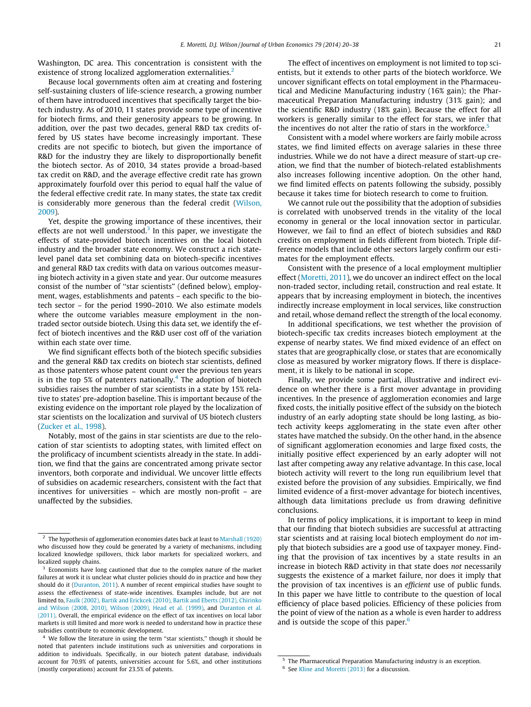Washington, DC area. This concentration is consistent with the existence of strong localized agglomeration externalities.<sup>2</sup>

Because local governments often aim at creating and fostering self-sustaining clusters of life-science research, a growing number of them have introduced incentives that specifically target the biotech industry. As of 2010, 11 states provide some type of incentive for biotech firms, and their generosity appears to be growing. In addition, over the past two decades, general R&D tax credits offered by US states have become increasingly important. These credits are not specific to biotech, but given the importance of R&D for the industry they are likely to disproportionally benefit the biotech sector. As of 2010, 34 states provide a broad-based tax credit on R&D, and the average effective credit rate has grown approximately fourfold over this period to equal half the value of the federal effective credit rate. In many states, the state tax credit is considerably more generous than the federal credit [\(Wilson,](#page--1-0) [2009](#page--1-0)).

Yet, despite the growing importance of these incentives, their effects are not well understood.<sup>3</sup> In this paper, we investigate the effects of state-provided biotech incentives on the local biotech industry and the broader state economy. We construct a rich statelevel panel data set combining data on biotech-specific incentives and general R&D tax credits with data on various outcomes measuring biotech activity in a given state and year. Our outcome measures consist of the number of ''star scientists'' (defined below), employment, wages, establishments and patents – each specific to the biotech sector – for the period 1990–2010. We also estimate models where the outcome variables measure employment in the nontraded sector outside biotech. Using this data set, we identify the effect of biotech incentives and the R&D user cost off of the variation within each state over time.

We find significant effects both of the biotech specific subsidies and the general R&D tax credits on biotech star scientists, defined as those patenters whose patent count over the previous ten years is in the top 5% of patenters nationally.<sup>4</sup> The adoption of biotech subsidies raises the number of star scientists in a state by 15% relative to states' pre-adoption baseline. This is important because of the existing evidence on the important role played by the localization of star scientists on the localization and survival of US biotech clusters ([Zucker et al., 1998](#page--1-0)).

Notably, most of the gains in star scientists are due to the relocation of star scientists to adopting states, with limited effect on the prolificacy of incumbent scientists already in the state. In addition, we find that the gains are concentrated among private sector inventors, both corporate and individual. We uncover little effects of subsidies on academic researchers, consistent with the fact that incentives for universities – which are mostly non-profit – are unaffected by the subsidies.

The effect of incentives on employment is not limited to top scientists, but it extends to other parts of the biotech workforce. We uncover significant effects on total employment in the Pharmaceutical and Medicine Manufacturing industry (16% gain); the Pharmaceutical Preparation Manufacturing industry (31% gain); and the scientific R&D industry (18% gain). Because the effect for all workers is generally similar to the effect for stars, we infer that the incentives do not alter the ratio of stars in the workforce.<sup>5</sup>

Consistent with a model where workers are fairly mobile across states, we find limited effects on average salaries in these three industries. While we do not have a direct measure of start-up creation, we find that the number of biotech-related establishments also increases following incentive adoption. On the other hand, we find limited effects on patents following the subsidy, possibly because it takes time for biotech research to come to fruition.

We cannot rule out the possibility that the adoption of subsidies is correlated with unobserved trends in the vitality of the local economy in general or the local innovation sector in particular. However, we fail to find an effect of biotech subsidies and R&D credits on employment in fields different from biotech. Triple difference models that include other sectors largely confirm our estimates for the employment effects.

Consistent with the presence of a local employment multiplier effect ([Moretti, 2011\)](#page--1-0), we do uncover an indirect effect on the local non-traded sector, including retail, construction and real estate. It appears that by increasing employment in biotech, the incentives indirectly increase employment in local services, like construction and retail, whose demand reflect the strength of the local economy.

In additional specifications, we test whether the provision of biotech-specific tax credits increases biotech employment at the expense of nearby states. We find mixed evidence of an effect on states that are geographically close, or states that are economically close as measured by worker migratory flows. If there is displacement, it is likely to be national in scope.

Finally, we provide some partial, illustrative and indirect evidence on whether there is a first mover advantage in providing incentives. In the presence of agglomeration economies and large fixed costs, the initially positive effect of the subsidy on the biotech industry of an early adopting state should be long lasting, as biotech activity keeps agglomerating in the state even after other states have matched the subsidy. On the other hand, in the absence of significant agglomeration economies and large fixed costs, the initially positive effect experienced by an early adopter will not last after competing away any relative advantage. In this case, local biotech activity will revert to the long run equilibrium level that existed before the provision of any subsidies. Empirically, we find limited evidence of a first-mover advantage for biotech incentives, although data limitations preclude us from drawing definitive conclusions.

In terms of policy implications, it is important to keep in mind that our finding that biotech subsidies are successful at attracting star scientists and at raising local biotech employment do not imply that biotech subsidies are a good use of taxpayer money. Finding that the provision of tax incentives by a state results in an increase in biotech R&D activity in that state does not necessarily suggests the existence of a market failure, nor does it imply that the provision of tax incentives is an efficient use of public funds. In this paper we have little to contribute to the question of local efficiency of place based policies. Efficiency of these policies from the point of view of the nation as a whole is even harder to address and is outside the scope of this paper. $6$ 

<sup>2</sup> The hypothesis of agglomeration economies dates back at least to [Marshall \(1920\)](#page--1-0) who discussed how they could be generated by a variety of mechanisms, including localized knowledge spillovers, thick labor markets for specialized workers, and localized supply chains.

<sup>3</sup> Economists have long cautioned that due to the complex nature of the market failures at work it is unclear what cluster policies should do in practice and how they should do it [\(Duranton, 2011\)](#page--1-0). A number of recent empirical studies have sought to assess the effectiveness of state-wide incentives. Examples include, but are not limited to, [Faulk \(2002\), Bartik and Erickcek \(2010\), Bartik and Eberts \(2012\), Chirinko](#page--1-0) [and Wilson \(2008, 2010\), Wilson \(2009\), Head et al. \(1999\)](#page--1-0), and [Duranton et al.](#page--1-0) [\(2011\)](#page--1-0). Overall, the empirical evidence on the effect of tax incentives on local labor markets is still limited and more work is needed to understand how in practice these subsidies contribute to economic development.

We follow the literature in using the term "star scientists," though it should be noted that patenters include institutions such as universities and corporations in addition to individuals. Specifically, in our biotech patent database, individuals account for 70.9% of patents, universities account for 5.6%, and other institutions (mostly corporations) account for 23.5% of patents.

<sup>5</sup> The Pharmaceutical Preparation Manufacturing industry is an exception.

<sup>6</sup> See [Kline and Moretti \(2013\)](#page--1-0) for a discussion.